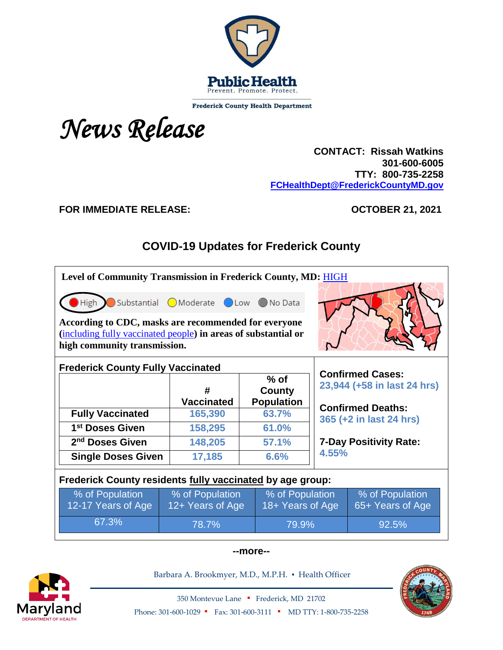

**Frederick County Health Department** 



 **CONTACT: Rissah Watkins 301-600-6005 TTY: 800-735-2258 [FCHealthDept@FrederickCountyMD.gov](mailto:FCHealthDept@FrederickCountyMD.gov)**

### **FOR IMMEDIATE RELEASE: OCTOBER 21, 2021**

# **COVID-19 Updates for Frederick County**

| Level of Community Transmission in Frederick County, MD: HIGH                                                                                          |                                     |                                     |       |                                     |  |  |
|--------------------------------------------------------------------------------------------------------------------------------------------------------|-------------------------------------|-------------------------------------|-------|-------------------------------------|--|--|
| Substantial Moderate Low No Data<br>High                                                                                                               |                                     |                                     |       |                                     |  |  |
| According to CDC, masks are recommended for everyone<br>(including fully vaccinated people) in areas of substantial or<br>high community transmission. |                                     |                                     |       |                                     |  |  |
| <b>Frederick County Fully Vaccinated</b><br><b>Confirmed Cases:</b>                                                                                    |                                     |                                     |       |                                     |  |  |
|                                                                                                                                                        | #                                   | $%$ of<br>County                    |       | 23,944 (+58 in last 24 hrs)         |  |  |
|                                                                                                                                                        | <b>Vaccinated</b>                   | <b>Population</b>                   |       |                                     |  |  |
|                                                                                                                                                        |                                     |                                     |       |                                     |  |  |
| <b>Fully Vaccinated</b>                                                                                                                                | 165,390                             | 63.7%                               |       | <b>Confirmed Deaths:</b>            |  |  |
| 1 <sup>st</sup> Doses Given                                                                                                                            | 158,295                             | 61.0%                               |       | 365 (+2 in last 24 hrs)             |  |  |
| 2 <sup>nd</sup> Doses Given                                                                                                                            | 148,205                             | 57.1%                               |       | <b>7-Day Positivity Rate:</b>       |  |  |
| <b>Single Doses Given</b>                                                                                                                              | 17,185                              | 6.6%                                | 4.55% |                                     |  |  |
| Frederick County residents fully vaccinated by age group:                                                                                              |                                     |                                     |       |                                     |  |  |
| % of Population<br>12-17 Years of Age                                                                                                                  | % of Population<br>12+ Years of Age | % of Population<br>18+ Years of Age |       | % of Population<br>65+ Years of Age |  |  |

#### **--more--**



Barbara A. Brookmyer, M.D., M.P.H. · Health Officer



350 Montevue Lane ▪ Frederick, MD 21702 Phone: 301-600-1029 • Fax: 301-600-3111 • MD TTY: 1-800-735-2258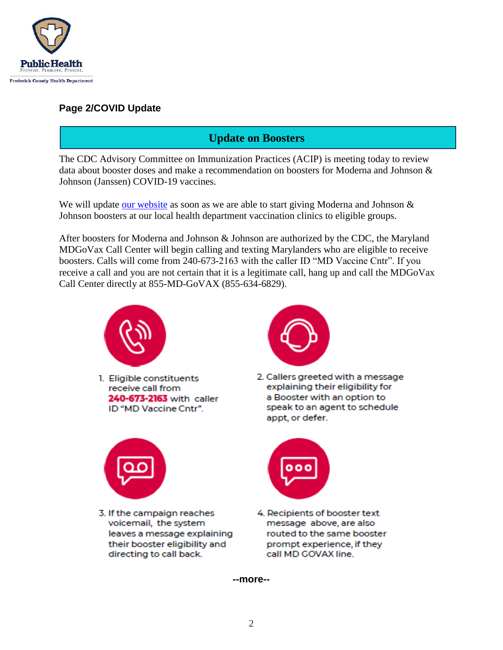

### **Page 2/COVID Update**

## **Update on Boosters**

The CDC Advisory Committee on Immunization Practices (ACIP) is meeting today to review data about booster doses and make a recommendation on boosters for Moderna and Johnson & Johnson (Janssen) COVID-19 vaccines.

We will update [our website](https://health.frederickcountymd.gov/629/COVID-19-Vaccine) as soon as we are able to start giving Moderna and Johnson & Johnson boosters at our local health department vaccination clinics to eligible groups.

After boosters for Moderna and Johnson & Johnson are authorized by the CDC, the Maryland MDGoVax Call Center will begin calling and texting Marylanders who are eligible to receive boosters. Calls will come from 240-673-2163 with the caller ID "MD Vaccine Cntr". If you receive a call and you are not certain that it is a legitimate call, hang up and call the MDGoVax Call Center directly at 855-MD-GoVAX (855-634-6829).



1. Eligible constituents receive call from 240-673-2163 with caller ID "MD Vaccine Cntr".



2. Callers greeted with a message explaining their eligibility for a Booster with an option to speak to an agent to schedule appt, or defer.



3. If the campaign reaches voicemail, the system leaves a message explaining their booster eligibility and directing to call back.



4. Recipients of booster text message above, are also routed to the same booster prompt experience, if they call MD GOVAX line.

**--more--**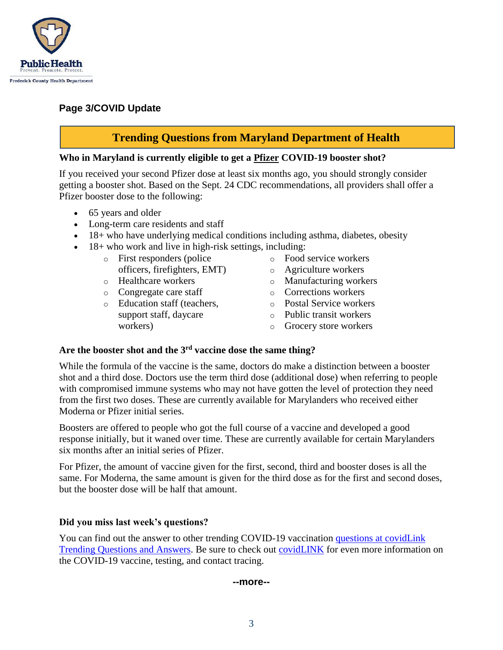

### **Page 3/COVID Update**

## **Trending Questions from Maryland Department of Health**

#### **Who in Maryland is currently eligible to get a Pfizer COVID-19 booster shot?**

If you received your second Pfizer dose at least six months ago, you should strongly consider getting a booster shot. Based on the Sept. 24 CDC recommendations, all providers shall offer a Pfizer booster dose to the following:

- 65 years and older
- Long-term care residents and staff
- 18+ who have underlying medical conditions including asthma, diabetes, obesity
- 18+ who work and live in high-risk settings, including:
	- o First responders (police officers, firefighters, EMT)
	- o Healthcare workers
	- o Congregate care staff
	- o Education staff (teachers, support staff, daycare workers)
- o Food service workers
- o Agriculture workers
- o Manufacturing workers
- o Corrections workers
- o Postal Service workers
- o Public transit workers
- o Grocery store workers

#### **Are the booster shot and the 3rd vaccine dose the same thing?**

While the formula of the vaccine is the same, doctors do make a distinction between a booster shot and a third dose. Doctors use the term third dose (additional dose) when referring to people with compromised immune systems who may not have gotten the level of protection they need from the first two doses. These are currently available for Marylanders who received either Moderna or Pfizer initial series.

Boosters are offered to people who got the full course of a vaccine and developed a good response initially, but it waned over time. These are currently available for certain Marylanders six months after an initial series of Pfizer.

For Pfizer, the amount of vaccine given for the first, second, third and booster doses is all the same. For Moderna, the same amount is given for the third dose as for the first and second doses, but the booster dose will be half that amount.

#### **Did you miss last week's questions?**

You can find out the answer to other trending COVID-19 vaccination [questions at covidLink](https://covidlink.maryland.gov/content/faqs/#trending)  [Trending Questions and Answers.](https://covidlink.maryland.gov/content/faqs/#trending) Be sure to check out [covidLINK](https://covidlink.maryland.gov/content/) for even more information on the COVID-19 vaccine, testing, and contact tracing.

**--more--**